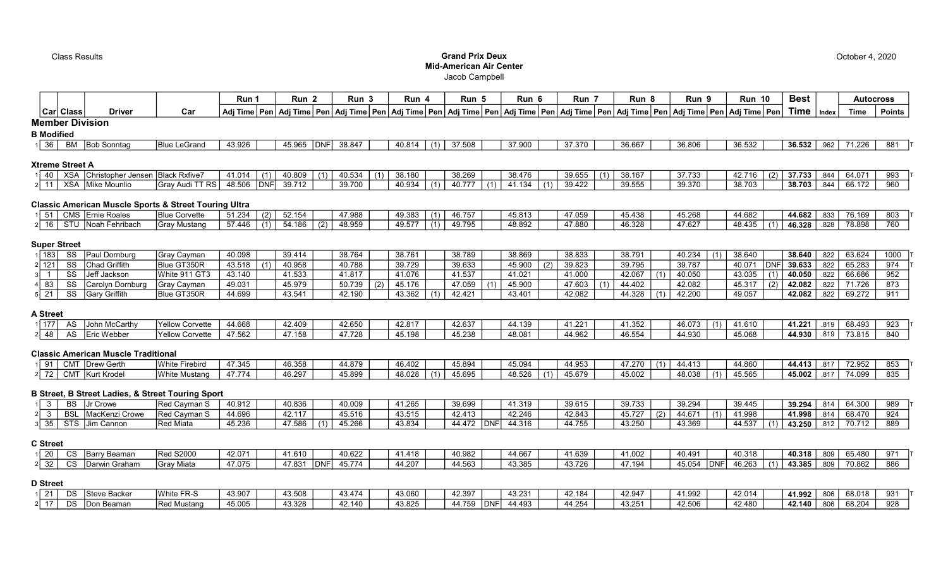## Class Results Grand Prix Deux Mid-American Air Center Jacob Campbell

|                        |            |                                                                  |                      | Run 1  |            | Run <sub>2</sub> |     | Run 3  |     | Run 4  |     | Run 5                                                                                                                                                                                                                      |     | Run 6  | Run 7  | Run 8  |     | Run 9  | <b>Run 10</b> |     | <b>Best</b> |       | <b>Autocross</b> |               |
|------------------------|------------|------------------------------------------------------------------|----------------------|--------|------------|------------------|-----|--------|-----|--------|-----|----------------------------------------------------------------------------------------------------------------------------------------------------------------------------------------------------------------------------|-----|--------|--------|--------|-----|--------|---------------|-----|-------------|-------|------------------|---------------|
|                        | Car  Class | <b>Driver</b>                                                    | Car                  |        |            |                  |     |        |     |        |     | Adj Time   Pen   Adj Time   Pen   Adj Time   Pen   Adj Time   Pen   Adj Time   Pen   Adj Time   Pen   Adj Time   Pen   Adj Time   Pen   Adj Time   Pen   Adj Time   Pen   Adj Time   Pen   Adj Time   Pen   Adj Time   Pen |     |        |        |        |     |        |               |     | <b>Time</b> | Index | Time             | <b>Points</b> |
| <b>Member Division</b> |            |                                                                  |                      |        |            |                  |     |        |     |        |     |                                                                                                                                                                                                                            |     |        |        |        |     |        |               |     |             |       |                  |               |
| <b>B</b> Modified      |            |                                                                  |                      |        |            |                  |     |        |     |        |     |                                                                                                                                                                                                                            |     |        |        |        |     |        |               |     |             |       |                  |               |
| 36                     | BM         | <b>Bob Sonntag</b>                                               | <b>Blue LeGrand</b>  | 43.926 |            | 45.965           | DNF | 38.847 |     | 40.814 | (1) | 37.508                                                                                                                                                                                                                     |     | 37.900 | 37.370 | 36.667 |     | 36.806 | 36.532        |     | 36.532      | .962  | 71.226           | 881           |
| <b>Xtreme Street A</b> |            |                                                                  |                      |        |            |                  |     |        |     |        |     |                                                                                                                                                                                                                            |     |        |        |        |     |        |               |     |             |       |                  |               |
| -40                    | <b>XSA</b> | Christopher Jensen                                               | <b>Black Rxfive7</b> | 41.014 |            | 40.809           |     | 40.534 | (1) | 38.180 |     | 38.269                                                                                                                                                                                                                     |     | 38.476 | 39.655 | 38.167 |     | 37.733 | 42.716        | (2) | 37.733      | .844  | 64.071           | 993           |
|                        | <b>XSA</b> | Mike Mounlio                                                     | Gray Audi TT RS      | 48.506 | <b>DNF</b> | 39.712           |     | 39.700 |     | 40.934 | (1) | 40.777                                                                                                                                                                                                                     | (1) | 41.134 | 39.422 | 39.555 |     | 39.370 | 38.703        |     | 38.703      | .844  | 66.172           | 960           |
|                        |            | <b>Classic American Muscle Sports &amp; Street Touring Ultra</b> |                      |        |            |                  |     |        |     |        |     |                                                                                                                                                                                                                            |     |        |        |        |     |        |               |     |             |       |                  |               |
| -51                    |            | CMS Ernie Roales                                                 | <b>Blue Corvette</b> | 51.234 | (2)        | 52.154           |     | 47.988 |     | 49.383 |     | 46.757                                                                                                                                                                                                                     |     | 45.813 | 47.059 | 45.438 |     | 45.268 | 44.682        |     | 44.682      | .833  | 76.169           | 803           |
| 16                     |            | STU Noah Fehribach                                               | Gray Mustang         | 57.446 | (1)        | 54.186           | (2) | 48.959 |     | 49.577 | (1) | 49.795                                                                                                                                                                                                                     |     | 48.892 | 47.880 | 46.328 |     | 47.627 | 48.435        |     | 46.328      | .828  | 78.898           | 760           |
| <b>Super Street</b>    |            |                                                                  |                      |        |            |                  |     |        |     |        |     |                                                                                                                                                                                                                            |     |        |        |        |     |        |               |     |             |       |                  |               |
| 183                    | SS         | Paul Dornburg                                                    | Gray Cayman          | 40.098 |            | 39.414           |     | 38.764 |     | 38.761 |     | 38.789                                                                                                                                                                                                                     |     | 38.869 | 38.833 | 38.791 |     | 40.234 | 38.640        |     | 38.640      | .822  | 63.624           | 1000          |
| $2$ 121                | SS         | <b>Chad Griffith</b>                                             | Blue GT350R          | 43.518 |            | 40.958           |     | 40.788 |     | 39.729 |     | 39.633                                                                                                                                                                                                                     |     | 45.900 | 39.823 | 39.795 |     | 39.787 | 40.071        | DN  | 39.633      | 822   | 65.283           | 974           |
|                        | SS         | Jeff Jackson                                                     | White 911 GT3        | 43.140 |            | 41.533           |     | 41.817 |     | 41.076 |     | 41.537                                                                                                                                                                                                                     |     | 41.021 | 41.000 | 42.067 | (1) | 40.050 | 43.035        |     | 40.050      | .822  | 66.686           | 952           |
| 83                     | SS         | Carolyn Dornburg                                                 | Gray Cayman          | 49.031 |            | 45.979           |     | 50.739 | (2) | 45.176 |     | 47.059                                                                                                                                                                                                                     |     | 45.900 | 47.603 | 44.402 |     | 42.082 | 45.317        |     | 42.082      | .822  | 71.726           | 873           |
| $5$ 21                 | SS         | Gary Griffith                                                    | Blue GT350R          | 44.699 |            | 43.541           |     | 42.190 |     | 43.362 |     | 42.421                                                                                                                                                                                                                     |     | 43.401 | 42.082 | 44.328 | (1) | 42.200 | 49.057        |     | 42.082      | .822  | 69.272           | 911           |

Run  $7$  Run  $8$  Run  $9$  Run  $10$ 

#### A Street

| 1 177 | Δ. | McCarth ا<br>וווטטו       | <b>TYellow Corvette</b> | 44.668          | 42.409                  | 42.650        | 42.817 | 42.63           | $\overline{A}$ $\overline{A}$ $\overline{A}$ $\overline{A}$<br>∽د ∪ ا | 41 221 | 41.352         | 10.075<br>. J. U / 3 | (4)<br>$\sim$<br>ں. ا | 41.221 | .819 | $\sim$ $\sim$<br>68.493 | $\sim$ $\sim$ $\sim$<br>$\cdots$ |
|-------|----|---------------------------|-------------------------|-----------------|-------------------------|---------------|--------|-----------------|-----------------------------------------------------------------------|--------|----------------|----------------------|-----------------------|--------|------|-------------------------|----------------------------------|
| -48   | ΛC | I Eric Webbe <sup>,</sup> | lYellow Corvette        | $1 - F$<br>ノトドン | 17.159<br><b>TI.IJL</b> | 17.700<br>778 | 45.198 | 45 238<br>ユウ・エー | 48.081                                                                | 14.962 | 10 F<br>.J.OO4 | <b>AA 030</b>        | $1 - 0.00$<br>ა 068   | 44.930 | .819 | 72 045<br>∵ ہ.ن ،       |                                  |

### Classic American Muscle Traditional

| ıl Q1 | CM <sub>1</sub> | Drew Gerth            | iWhite<br>rebirc | 17 2 15<br>س 74 | 16.358 | $\sim$<br>879 | 6.402  | $-$ 804 $\overline{a}$<br>40.094 | $\sim$ 0.04<br>∿…טי | $\sim$ $\sim$ $\sim$<br>$\cdot\cdot\cdot$ | $\sim$ $\sim$ $\sim$<br>41 | $.41^\circ$ | 44.860          | 44.413 | 0.47       | 72.952 | __<br>ດ:ນ.   |
|-------|-----------------|-----------------------|------------------|-----------------|--------|---------------|--------|----------------------------------|---------------------|-------------------------------------------|----------------------------|-------------|-----------------|--------|------------|--------|--------------|
|       | <b>CMT</b>      | Krode<br><b>IKurt</b> | White Mustand    | 774<br>.        | 16.297 | 45.899        | 18.028 | 60F<br>ru.uu                     | 10E<br>HU.JZJ       | $\sim$<br>.                               | $1 - 0.00$<br>א∪.ט≁        | 48.038      | 15.50<br>45.565 | 45.002 | $\sim$ $-$ | 74.099 | $ -$<br>-835 |

## B Street, B Street Ladies, & Street Touring Sport

|                  | <b>DC</b>            | ∵ Crowe        | Red Cayman S | 40.912 | 40.836         | 40.009          | 41.265 | 39.699 | 41.31°                 | 39.615 | 39.733                       | 39.294           | 39.445 | 39.294 | 64.300 | <b>QRC</b> |
|------------------|----------------------|----------------|--------------|--------|----------------|-----------------|--------|--------|------------------------|--------|------------------------------|------------------|--------|--------|--------|------------|
|                  | BSL                  | MacKenzi Crowe | Red Cayman S | 44.696 | 1217           | AEE4C<br>45.516 | 43.515 | 42.413 | 42.246                 | 42.843 | $1 - 7 - 7$<br>(Z)<br>45.IZI | 44.67 $^{\circ}$ | 44,008 | 41.998 | 68.470 | 924        |
| $3 \mid 35 \mid$ | $\sim$ $\tau$<br>১।১ | m Cannon       | Red Miata    | 45.236 | 47 586<br>טטט. | 45,266          | 43.834 | 44.472 | 14.316<br><b>IDNFI</b> | 44.755 | 12 OFC<br>43.Z5U             | ง 360<br>ru.uua  | 44.53  | 43.250 | 70.712 | 889        |

# C Street

|  | 1 20   CS   Barry Beaman | Red S2000          | 42.071 | 11.610 |     | 40.622 | 41.418 | 40.982 | 14.667 |        |        | 40.491         | 40.318                   | 40.318 .809 | 65.480 | 971 |
|--|--------------------------|--------------------|--------|--------|-----|--------|--------|--------|--------|--------|--------|----------------|--------------------------|-------------|--------|-----|
|  | 2 32 CS Darwin Graham    | <b>S</b> ray Miata | 17.075 | 47.831 | DNF | 45.774 | 44.207 | 44.563 | 43.385 | 43.726 | 47.194 | 45.054<br> DNF | $46.263$ (1) 43.385 3.89 |             | 70.862 | 886 |

### D Street

| $1 \quad 21 \quad$ | DS | ⅠSteve Backer | White FR-S  | 43.907 | 43.508 | 43.474 | 43.060 | 42.397 |              | $\sim$ 00.<br>70.ZU * | 42.184 | 42.947 | 41 992 | 12.014 | 41.992 | 806  | 68.018 | 031<br>ວບ |
|--------------------|----|---------------|-------------|--------|--------|--------|--------|--------|--------------|-----------------------|--------|--------|--------|--------|--------|------|--------|-----------|
| $2 \mid 17 \mid$   | DS | IDon Beaman   | Red Mustang | 45.005 | 43.328 | 12.140 | 43.825 | 44.75° | <b>IDNE!</b> | 44.493                | 44.254 | 43.251 | 42.506 | 42.480 | 42.140 | .806 | 68.204 | ৬∠୪       |

October 4, 2020

Rest **Autocross**